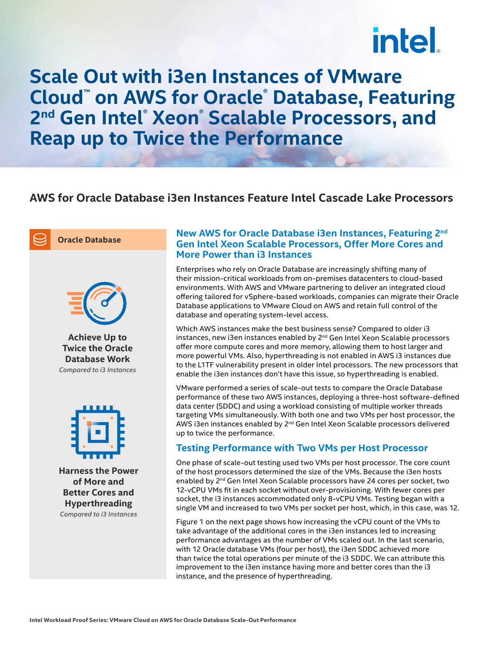# intel.

**Scale Out with i3en Instances of VMware Cloud™ on AWS for Oracle® Database, Featuring 2nd Gen Intel® Xeon® Scalable Processors, and Reap up to Twice the Performance**

### **AWS for Oracle Database i3en Instances Feature Intel Cascade Lake Processors**



**Oracle Database**



**Achieve Up to Twice the Oracle Database Work**  *Compared to i3 Instances*



**Harness the Power of More and Better Cores and Hyperthreading** *Compared to i3 Instances*

#### **New AWS for Oracle Database i3en Instances, Featuring 2nd Gen Intel Xeon Scalable Processors, Offer More Cores and More Power than i3 Instances**

Enterprises who rely on Oracle Database are increasingly shifting many of their mission-critical workloads from on-premises datacenters to cloud-based environments. With AWS and VMware partnering to deliver an integrated cloud offering tailored for vSphere-based workloads, companies can migrate their Oracle Database applications to VMware Cloud on AWS and retain full control of the database and operating system-level access.

Which AWS instances make the best business sense? Compared to older i3 instances, new i3en instances enabled by 2<sup>nd</sup> Gen Intel Xeon Scalable processors offer more compute cores and more memory, allowing them to host larger and more powerful VMs. Also, hyperthreading is not enabled in AWS i3 instances due to the L1TF vulnerability present in older Intel processors. The new processors that enable the i3en instances don't have this issue, so hyperthreading is enabled.

VMware performed a series of scale-out tests to compare the Oracle Database performance of these two AWS instances, deploying a three-host software-defined data center (SDDC) and using a workload consisting of multiple worker threads targeting VMs simultaneously. With both one and two VMs per host processor, the AWS i3en instances enabled by 2<sup>nd</sup> Gen Intel Xeon Scalable processors delivered up to twice the performance.

#### **Testing Performance with Two VMs per Host Processor**

One phase of scale-out testing used two VMs per host processor. The core count of the host processors determined the size of the VMs. Because the i3en hosts enabled by 2<sup>nd</sup> Gen Intel Xeon Scalable processors have 24 cores per socket, two 12-vCPU VMs fit in each socket without over-provisioning. With fewer cores per socket, the i3 instances accommodated only 8-vCPU VMs. Testing began with a single VM and increased to two VMs per socket per host, which, in this case, was 12.

Figure 1 on the next page shows how increasing the vCPU count of the VMs to take advantage of the additional cores in the i3en instances led to increasing performance advantages as the number of VMs scaled out. In the last scenario, with 12 Oracle database VMs (four per host), the i3en SDDC achieved more than twice the total operations per minute of the i3 SDDC. We can attribute this improvement to the i3en instance having more and better cores than the i3 instance, and the presence of hyperthreading.